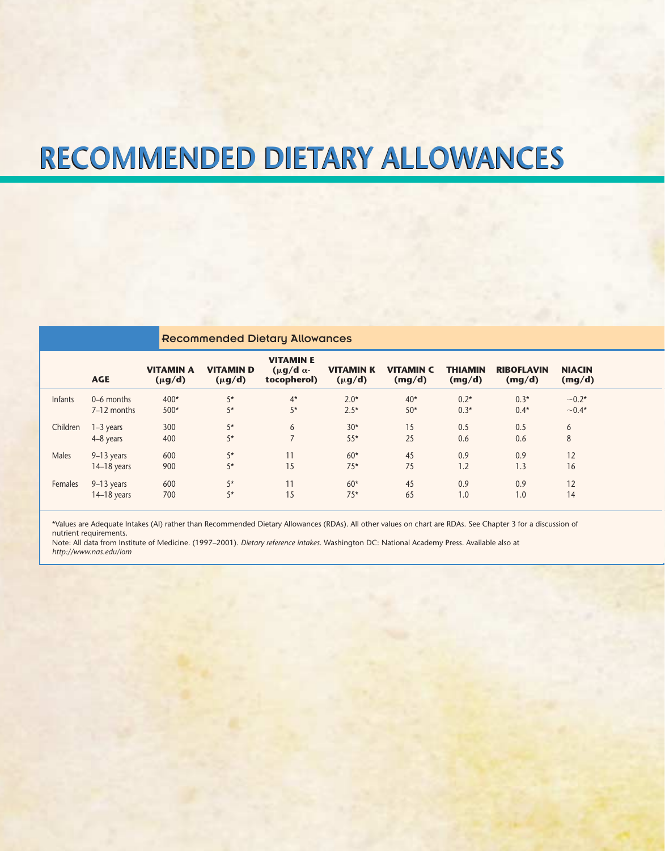## **RECOMMENDED DIETARY ALLOWANCES RECOMMENDED DIETARY ALLOWANCES**

|                |               | <b>Recommended Dietary Allowances</b> |                                |                                                     |                                 |                            |                          |                             |                         |  |
|----------------|---------------|---------------------------------------|--------------------------------|-----------------------------------------------------|---------------------------------|----------------------------|--------------------------|-----------------------------|-------------------------|--|
|                | <b>AGE</b>    | <b>VITAMIN A</b><br>$(\mu g/d)$       | <b>VITAMIND</b><br>$(\mu g/d)$ | <b>VITAMINE</b><br>$(\mu q/d \alpha$<br>tocopherol) | <b>VITAMIN K</b><br>$(\mu g/d)$ | <b>VITAMIN C</b><br>(mg/d) | <b>THIAMIN</b><br>(mg/d) | <b>RIBOFLAVIN</b><br>(mg/d) | <b>NIACIN</b><br>(mg/d) |  |
| <b>Infants</b> | 0-6 months    | $400*$                                | $5*$                           | $4^*$                                               | $2.0*$                          | $40*$                      | $0.2*$                   | $0.3*$                      | $~10.2*$                |  |
|                | 7-12 months   | $500*$                                | $5*$                           | $5*$                                                | $2.5*$                          | $50*$                      | $0.3*$                   | $0.4*$                      | $~10.4*$                |  |
| Children       | $1-3$ years   | 300                                   | $5*$                           | 6                                                   | $30*$                           | 15                         | 0.5                      | 0.5                         | 6                       |  |
|                | 4-8 years     | 400                                   | $5*$                           | $\overline{7}$                                      | $55*$                           | 25                         | 0.6                      | 0.6                         | 8                       |  |
| Males          | $9-13$ years  | 600                                   | $5*$                           | 11                                                  | $60*$                           | 45                         | 0.9                      | 0.9                         | 12                      |  |
|                | $14-18$ years | 900                                   | $5*$                           | 15                                                  | $75*$                           | 75                         | 1.2                      | 1.3                         | 16                      |  |
| Females        | $9-13$ years  | 600                                   | $5*$                           | 11                                                  | $60*$                           | 45                         | 0.9                      | 0.9                         | 12                      |  |
|                | $14-18$ years | 700                                   | $5*$                           | 15                                                  | $75*$                           | 65                         | 1.0                      | 1.0                         | 14                      |  |

\*Values are Adequate Intakes (AI) rather than Recommended Dietary Allowances (RDAs). All other values on chart are RDAs. See Chapter 3 for a discussion of nutrient requirements.

Note: All data from Institute of Medicine. (1997–2001). *Dietary reference intakes.* Washington DC: National Academy Press. Available also at *http://www.nas.edu/iom*